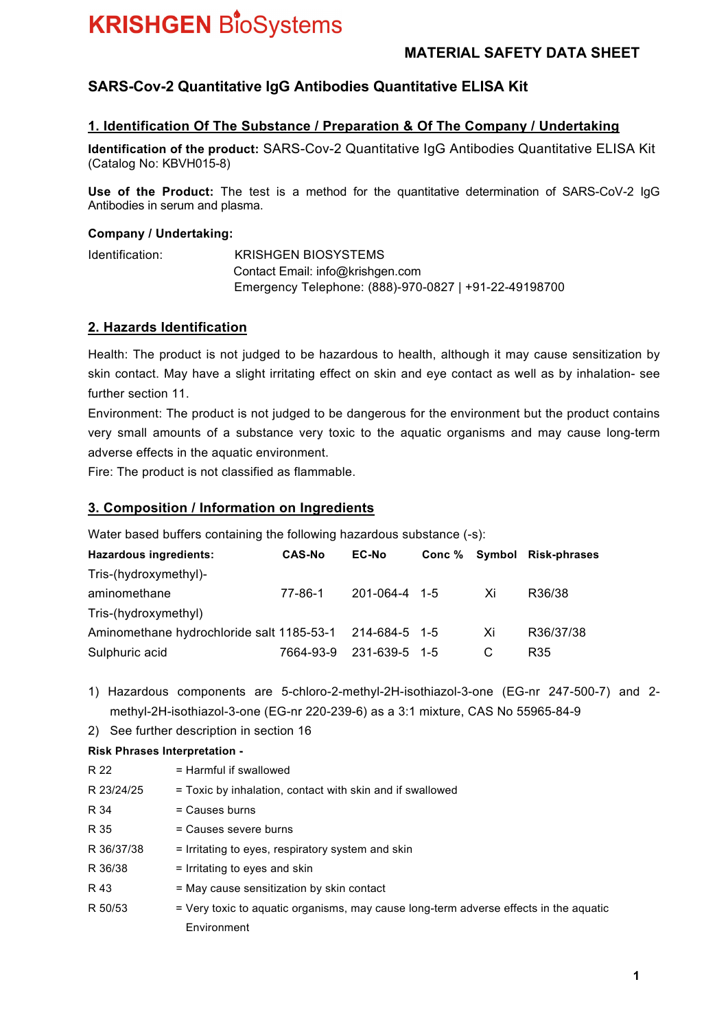### **MATERIAL SAFETY DATA SHEET**

# **SARS-Cov-2 Quantitative IgG Antibodies Quantitative ELISA Kit**

#### **1. Identification Of The Substance / Preparation & Of The Company / Undertaking**

**Identification of the product:** SARS-Cov-2 Quantitative IgG Antibodies Quantitative ELISA Kit (Catalog No: KBVH015-8)

**Use of the Product:** The test is a method for the quantitative determination of SARS-CoV-2 IgG Antibodies in serum and plasma.

#### **Company / Undertaking:**

Identification: KRISHGEN BIOSYSTEMS Contact Email: info@krishgen.com Emergency Telephone: (888)-970-0827 | +91-22-49198700

#### **2. Hazards Identification**

Health: The product is not judged to be hazardous to health, although it may cause sensitization by skin contact. May have a slight irritating effect on skin and eye contact as well as by inhalation- see further section 11.

Environment: The product is not judged to be dangerous for the environment but the product contains very small amounts of a substance very toxic to the aquatic organisms and may cause long-term adverse effects in the aquatic environment.

Fire: The product is not classified as flammable.

#### **3. Composition / Information on Ingredients**

Water based buffers containing the following hazardous substance (-s):

| Hazardous ingredients:                                  | <b>CAS-No</b> | <b>EC-No</b>        |    | Conc % Symbol Risk-phrases |
|---------------------------------------------------------|---------------|---------------------|----|----------------------------|
| Tris-(hydroxymethyl)-                                   |               |                     |    |                            |
| aminomethane                                            | 77-86-1       | $201 - 064 - 4$ 1-5 | Xi | R36/38                     |
| Tris-(hydroxymethyl)                                    |               |                     |    |                            |
| Aminomethane hydrochloride salt 1185-53-1 214-684-5 1-5 |               |                     | Xi | R36/37/38                  |
| Sulphuric acid                                          | 7664-93-9     | 231-639-5 1-5       |    | R35                        |

1) Hazardous components are 5-chloro-2-methyl-2H-isothiazol-3-one (EG-nr 247-500-7) and 2 methyl-2H-isothiazol-3-one (EG-nr 220-239-6) as a 3:1 mixture, CAS No 55965-84-9

2) See further description in section 16

#### **Risk Phrases Interpretation -**

| R 22       | $=$ Harmful if swallowed                                                              |
|------------|---------------------------------------------------------------------------------------|
| R 23/24/25 | = Toxic by inhalation, contact with skin and if swallowed                             |
| R 34       | $=$ Causes burns                                                                      |
| R 35       | = Causes severe burns                                                                 |
| R 36/37/38 | = Irritating to eyes, respiratory system and skin                                     |
| R 36/38    | = Irritating to eyes and skin                                                         |
| R 43       | = May cause sensitization by skin contact                                             |
| R 50/53    | = Very toxic to aquatic organisms, may cause long-term adverse effects in the aquatic |
|            | Environment                                                                           |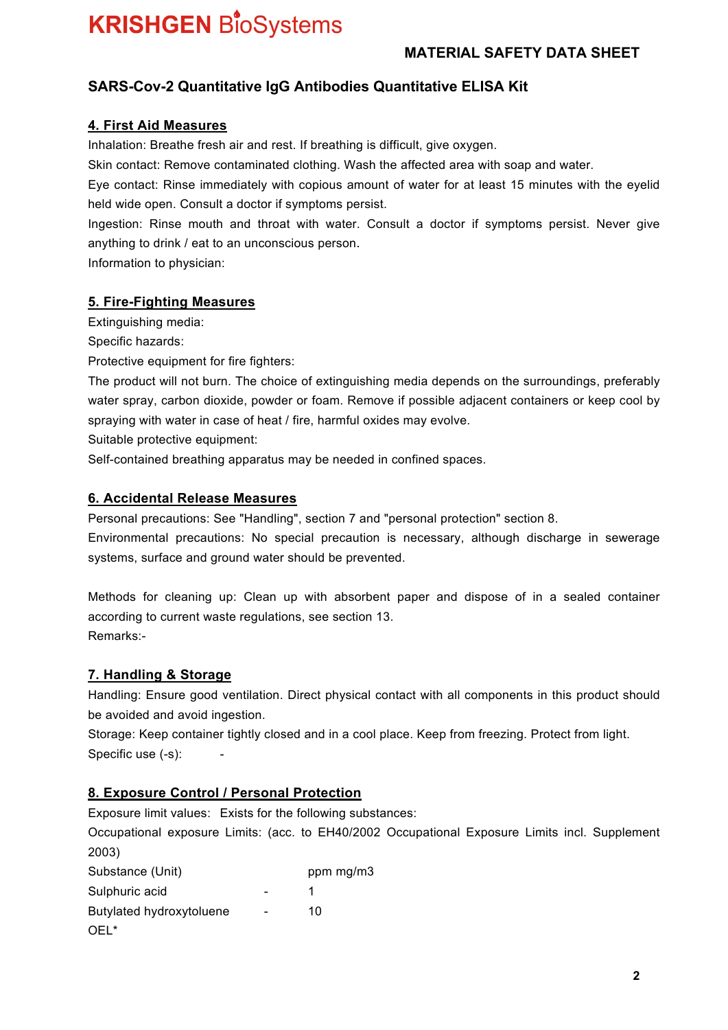# **MATERIAL SAFETY DATA SHEET**

# **SARS-Cov-2 Quantitative IgG Antibodies Quantitative ELISA Kit**

### **4. First Aid Measures**

Inhalation: Breathe fresh air and rest. If breathing is difficult, give oxygen.

Skin contact: Remove contaminated clothing. Wash the affected area with soap and water.

Eye contact: Rinse immediately with copious amount of water for at least 15 minutes with the eyelid held wide open. Consult a doctor if symptoms persist.

Ingestion: Rinse mouth and throat with water. Consult a doctor if symptoms persist. Never give anything to drink / eat to an unconscious person.

Information to physician:

## **5. Fire-Fighting Measures**

Extinguishing media:

Specific hazards:

Protective equipment for fire fighters:

The product will not burn. The choice of extinguishing media depends on the surroundings, preferably water spray, carbon dioxide, powder or foam. Remove if possible adjacent containers or keep cool by spraying with water in case of heat / fire, harmful oxides may evolve.

Suitable protective equipment:

Self-contained breathing apparatus may be needed in confined spaces.

## **6. Accidental Release Measures**

Personal precautions: See "Handling", section 7 and "personal protection" section 8. Environmental precautions: No special precaution is necessary, although discharge in sewerage systems, surface and ground water should be prevented.

Methods for cleaning up: Clean up with absorbent paper and dispose of in a sealed container according to current waste regulations, see section 13. Remarks:-

# **7. Handling & Storage**

Handling: Ensure good ventilation. Direct physical contact with all components in this product should be avoided and avoid ingestion.

Storage: Keep container tightly closed and in a cool place. Keep from freezing. Protect from light. Specific use (-s):

# **8. Exposure Control / Personal Protection**

Exposure limit values: Exists for the following substances:

Occupational exposure Limits: (acc. to EH40/2002 Occupational Exposure Limits incl. Supplement 2003)

| Substance (Unit)         |                          | ppm mg/m3 |
|--------------------------|--------------------------|-----------|
| Sulphuric acid           |                          |           |
| Butylated hydroxytoluene | $\overline{\phantom{0}}$ | 10        |
| OFI <sup>*</sup>         |                          |           |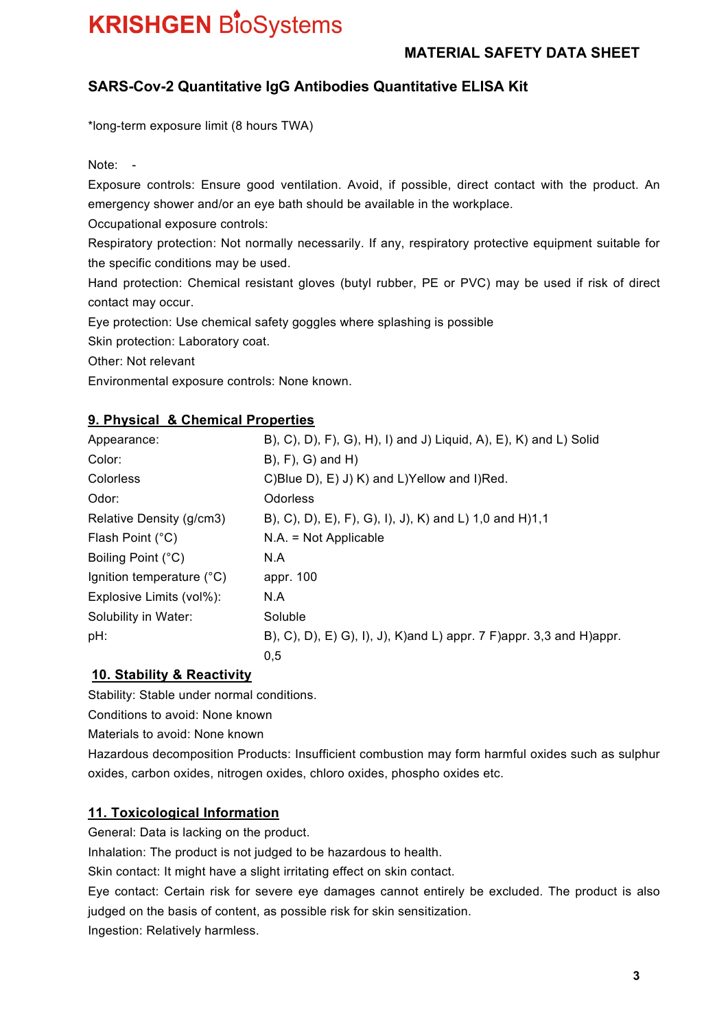## **MATERIAL SAFETY DATA SHEET**

# **SARS-Cov-2 Quantitative IgG Antibodies Quantitative ELISA Kit**

\*long-term exposure limit (8 hours TWA)

Note:

Exposure controls: Ensure good ventilation. Avoid, if possible, direct contact with the product. An emergency shower and/or an eye bath should be available in the workplace.

Occupational exposure controls:

Respiratory protection: Not normally necessarily. If any, respiratory protective equipment suitable for the specific conditions may be used.

Hand protection: Chemical resistant gloves (butyl rubber, PE or PVC) may be used if risk of direct contact may occur.

Eye protection: Use chemical safety goggles where splashing is possible

Skin protection: Laboratory coat.

Other: Not relevant

Environmental exposure controls: None known.

#### **9. Physical & Chemical Properties**

| Appearance:                        | B), C), D), F), G), H), I) and J) Liquid, A), E), K) and L) Solid          |
|------------------------------------|----------------------------------------------------------------------------|
| Color:                             | $B$ ), $F$ ), $G$ ) and $H$ )                                              |
| Colorless                          | C)Blue D), E) J) K) and L)Yellow and I)Red.                                |
| Odor:                              | <b>Odorless</b>                                                            |
| Relative Density (g/cm3)           | B), C), D), E), F), G), I), J), K) and L) 1,0 and H)1,1                    |
| Flash Point (°C)                   | $N.A. = Not Applicable$                                                    |
| Boiling Point (°C)                 | N.A                                                                        |
| Ignition temperature $(^{\circ}C)$ | appr. 100                                                                  |
| Explosive Limits (vol%):           | N.A                                                                        |
| Solubility in Water:               | Soluble                                                                    |
| pH:                                | B), C), D), E) G), I), J), K)and L) appr. 7 F)appr. 3,3 and H)appr.<br>0,5 |

### **10. Stability & Reactivity**

Stability: Stable under normal conditions.

Conditions to avoid: None known

Materials to avoid: None known

Hazardous decomposition Products: Insufficient combustion may form harmful oxides such as sulphur oxides, carbon oxides, nitrogen oxides, chloro oxides, phospho oxides etc.

### **11. Toxicological Information**

General: Data is lacking on the product.

Inhalation: The product is not judged to be hazardous to health.

Skin contact: It might have a slight irritating effect on skin contact.

Eye contact: Certain risk for severe eye damages cannot entirely be excluded. The product is also judged on the basis of content, as possible risk for skin sensitization.

Ingestion: Relatively harmless.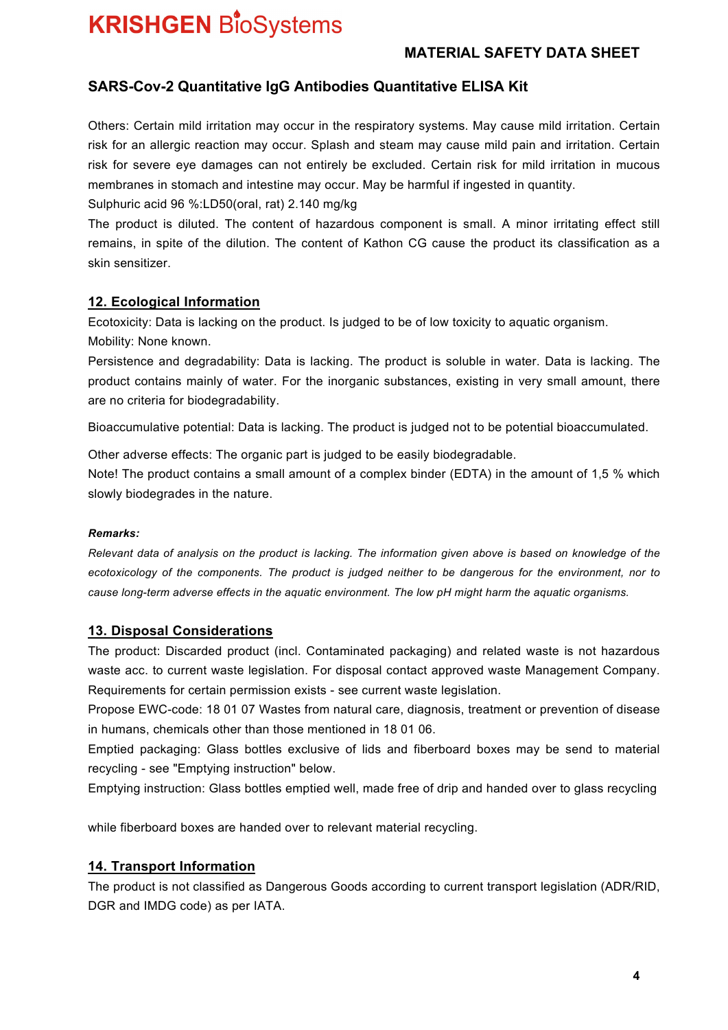## **MATERIAL SAFETY DATA SHEET**

## **SARS-Cov-2 Quantitative IgG Antibodies Quantitative ELISA Kit**

Others: Certain mild irritation may occur in the respiratory systems. May cause mild irritation. Certain risk for an allergic reaction may occur. Splash and steam may cause mild pain and irritation. Certain risk for severe eye damages can not entirely be excluded. Certain risk for mild irritation in mucous membranes in stomach and intestine may occur. May be harmful if ingested in quantity. Sulphuric acid 96 %:LD50(oral, rat) 2.140 mg/kg

The product is diluted. The content of hazardous component is small. A minor irritating effect still remains, in spite of the dilution. The content of Kathon CG cause the product its classification as a skin sensitizer.

#### **12. Ecological Information**

Ecotoxicity: Data is lacking on the product. Is judged to be of low toxicity to aquatic organism. Mobility: None known.

Persistence and degradability: Data is lacking. The product is soluble in water. Data is lacking. The product contains mainly of water. For the inorganic substances, existing in very small amount, there are no criteria for biodegradability.

Bioaccumulative potential: Data is lacking. The product is judged not to be potential bioaccumulated.

Other adverse effects: The organic part is judged to be easily biodegradable.

Note! The product contains a small amount of a complex binder (EDTA) in the amount of 1,5 % which slowly biodegrades in the nature.

#### *Remarks:*

*Relevant data of analysis on the product is lacking. The information given above is based on knowledge of the ecotoxicology of the components. The product is judged neither to be dangerous for the environment, nor to cause long-term adverse effects in the aquatic environment. The low pH might harm the aquatic organisms.* 

### **13. Disposal Considerations**

The product: Discarded product (incl. Contaminated packaging) and related waste is not hazardous waste acc. to current waste legislation. For disposal contact approved waste Management Company. Requirements for certain permission exists - see current waste legislation.

Propose EWC-code: 18 01 07 Wastes from natural care, diagnosis, treatment or prevention of disease in humans, chemicals other than those mentioned in 18 01 06.

Emptied packaging: Glass bottles exclusive of lids and fiberboard boxes may be send to material recycling - see "Emptying instruction" below.

Emptying instruction: Glass bottles emptied well, made free of drip and handed over to glass recycling

while fiberboard boxes are handed over to relevant material recycling.

### **14. Transport Information**

The product is not classified as Dangerous Goods according to current transport legislation (ADR/RID, DGR and IMDG code) as per IATA.